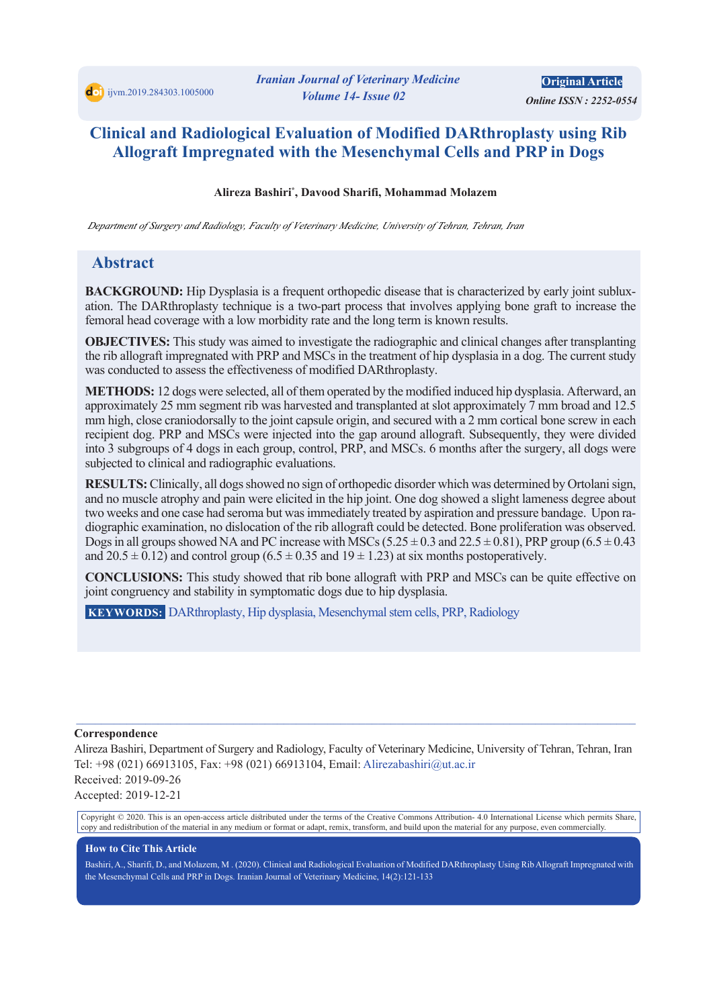*<i> Online ISSN: 2252-0554* **Original Article** 

# **Clinical and Radiological Evaluation of Modified DARthroplasty using Rib Allograft Impregnated with the Mesenchymal Cells and PRP in Dogs**

#### Alireza Bashiri\*, Davood Sharifi, Mohammad Molazem

*Department of Surgery and Radiology, Faculty of Veterinary Medicine, University of Tehran, Tehran, Iran* 

# **Abstract**

ation. The DARthroplasty technique is a two-part process that involves applying bone graft to increase the **BACKGROUND:** Hip Dysplasia is a frequent orthopedic disease that is characterized by early joint subluxfemoral head coverage with a low morbidity rate and the long term is known results.

**OBJECTIVES:** This study was aimed to investigate the radiographic and clinical changes after transplanting the rib allograft impregnated with PRP and MSCs in the treatment of hip dysplasia in a dog. The current study was conducted to assess the effectiveness of modified DARthroplasty.

**METHODS:** 12 dogs were selected, all of them operated by the modified induced hip dysplasia. Afterward, an approximately 25 mm segment rib was harvested and transplanted at slot approximately 7 mm broad and 12.5 mm high, close craniodorsally to the joint capsule origin, and secured with a 2 mm cortical bone screw in each recipient dog. PRP and MSCs were injected into the gap around allograft. Subsequently, they were divided into 3 subgroups of 4 dogs in each group, control, PRP, and MSCs. 6 months after the surgery, all dogs were subjected to clinical and radiographic evaluations.

RESULTS: Clinically, all dogs showed no sign of orthopedic disorder which was determined by Ortolani sign, and no muscle atrophy and pain were elicited in the hip joint. One dog showed a slight lameness degree about diographic examination, no dislocation of the rib allograft could be detected. Bone proliferation was observed. two weeks and one case had seroma but was immediately treated by aspiration and pressure bandage. Upon ra-Dogs in all groups showed NA and PC increase with MSCs  $(5.25 \pm 0.3$  and  $22.5 \pm 0.81)$ , PRP group  $(6.5 \pm 0.43)$ and  $20.5 \pm 0.12$ ) and control group  $(6.5 \pm 0.35$  and  $19 \pm 1.23)$  at six months postoperatively.

**CONCLUSIONS:** This study showed that rib bone allograft with PRP and MSCs can be quite effective on joint congruency and stability in symptomatic dogs due to hip dysplasia.

**KEYWORDS:** DARthroplasty, Hip dysplasia, Mesenchymal stem cells, PRP, Radiology

#### **Correspondence**

Alireza Bashiri, Department of Surgery and Radiology, Faculty of Veterinary Medicine, University of Tehran, Tehran, Iran Tel: +98 (021) 66913105, Fax: +98 (021) 66913104, Email: Alirezabashiri@ut.ac.ir Received: 2019-09-26 Accepted: 2019-12-21

 $\_$  , and the state of the state of the state of the state of the state of the state of the state of the state of the state of the state of the state of the state of the state of the state of the state of the state of the

Copyright © 2020. This is an open-access article distributed under the terms of the Creative Commons Attribution-4.0 International License which permits Share, copy and redistribution of the material in any medium or format or adapt, remix, transform, and build upon the material for any purpose, even commercially.

#### **How to Cite This Article**

Bashiri, A., Sharifi, D., and Molazem, M. (2020). Clinical and Radiological Evaluation of Modified DARthroplasty Using Rib Allograft Impregnated with the Mesenchymal Cells and PRP in Dogs. Iranian Journal of Veterinary Medicine, 14(2):121-133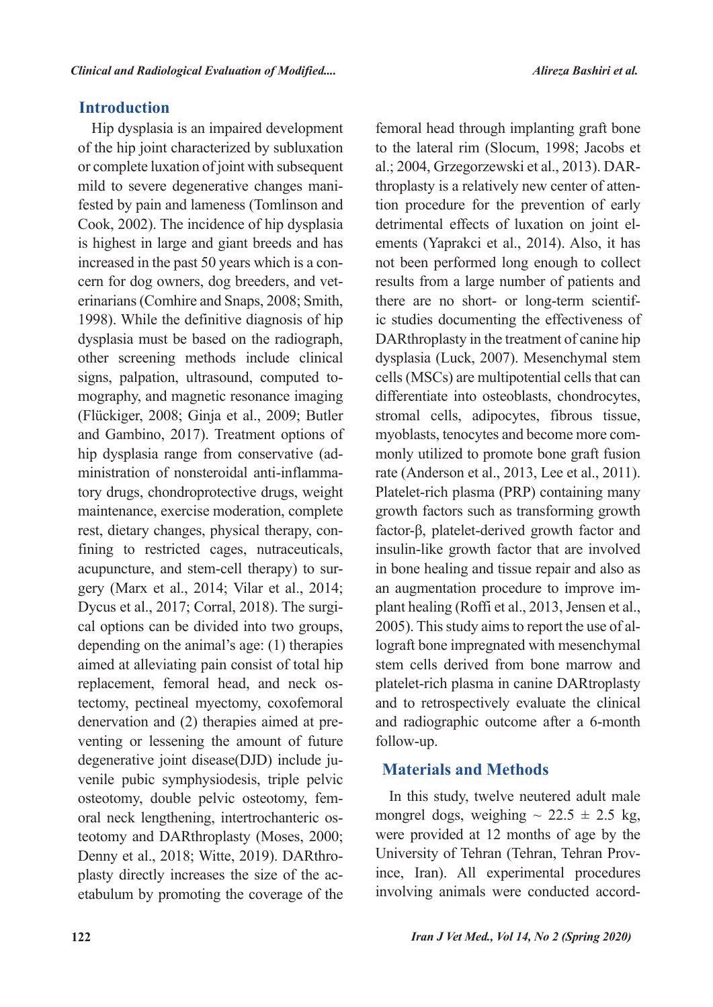# **Introduction**

Hip dysplasia is an impaired development of the hip joint characterized by subluxation or complete luxation of joint with subsequent fested by pain and lameness (Tomlinson and mild to severe degenerative changes mani-Cook, 2002). The incidence of hip dysplasia is highest in large and giant breeds and has erinarians (Comhire and Snaps, 2008; Smith, cern for dog owners, dog breeders, and vetincreased in the past 50 years which is a con-1998). While the definitive diagnosis of hip dysplasia must be based on the radiograph, other screening methods include clinical mography, and magnetic resonance imaging signs, palpation, ultrasound, computed to-(Flückiger, 2008; Ginja et al., 2009; Butler and Gambino, 2017). Treatment options of tory drugs, chondroprotective drugs, weight ministration of nonsteroidal anti-inflammahip dysplasia range from conservative (admaintenance, exercise moderation, complete fining to restricted cages, nutraceuticals, rest, dietary changes, physical therapy, congery (Marx et al., 2014; Vilar et al., 2014; acupuncture, and stem-cell therapy) to surcal options can be divided into two groups, Dycus et al., 2017; Corral, 2018). The surgidepending on the animal's age:  $(1)$  therapies aimed at alleviating pain consist of total hip tectomy, pectineal myectomy, coxofemoral replacement, femoral head, and neck osventing or lessening the amount of future denervation and  $(2)$  therapies aimed at prevenile pubic symphysiodesis, triple pelvic degenerative joint disease(DJD) include juoral neck lengthening, intertrochanteric os-<br>teotomy and DARthroplasty (Moses, 2000; osteotomy, double pelvic osteotomy, fem-<br>oral-neck lengthening, intertrochanteric osetabulum by promoting the coverage of the plasty directly increases the size of the ac-Denny et al., 2018; Witte, 2019). DARthro-

femoral head through implanting graft bone to the lateral rim (Slocum, 1998; Jacobs et tion procedure for the prevention of early throplasty is a relatively new center of attenal.; 2004, Grzegorzewski et al., 2013). DARements (Yaprakci et al., 2014). Also, it has detrimental effects of luxation on joint elnot been performed long enough to collect results from a large number of patients and ic studies documenting the effectiveness of there are no short- or long-term scientif-DARthroplasty in the treatment of canine hip dysplasia (Luck, 2007). Mesenchymal stem cells (MSCs) are multipotential cells that can differentiate into osteoblasts, chondrocytes, stromal cells, adipocytes, fibrous tissue, monly utilized to promote bone graft fusion myoblasts, tenocytes and become more comrate (Anderson et al., 2013, Lee et al., 2011). Platelet-rich plasma (PRP) containing many growth factors such as transforming growth factor-β, platelet-derived growth factor and insulin-like growth factor that are involved in bone healing and tissue repair and also as plant healing (Roffi et al., 2013, Jensen et al., an augmentation procedure to improve imlograft bone impregnated with mesenchymal 2005). This study aims to report the use of alstem cells derived from bone marrow and platelet-rich plasma in canine DARtroplasty and to retrospectively evaluate the clinical and radiographic outcome after a 6-month follow-up.

# **Methods and Materials**

In this study, twelve neutered adult male mongrel dogs, weighing  $\sim$  22.5  $\pm$  2.5 kg, were provided at 12 months of age by the ince, Iran). All experimental procedures University of Tehran (Tehran, Tehran Provinvolving animals were conducted accord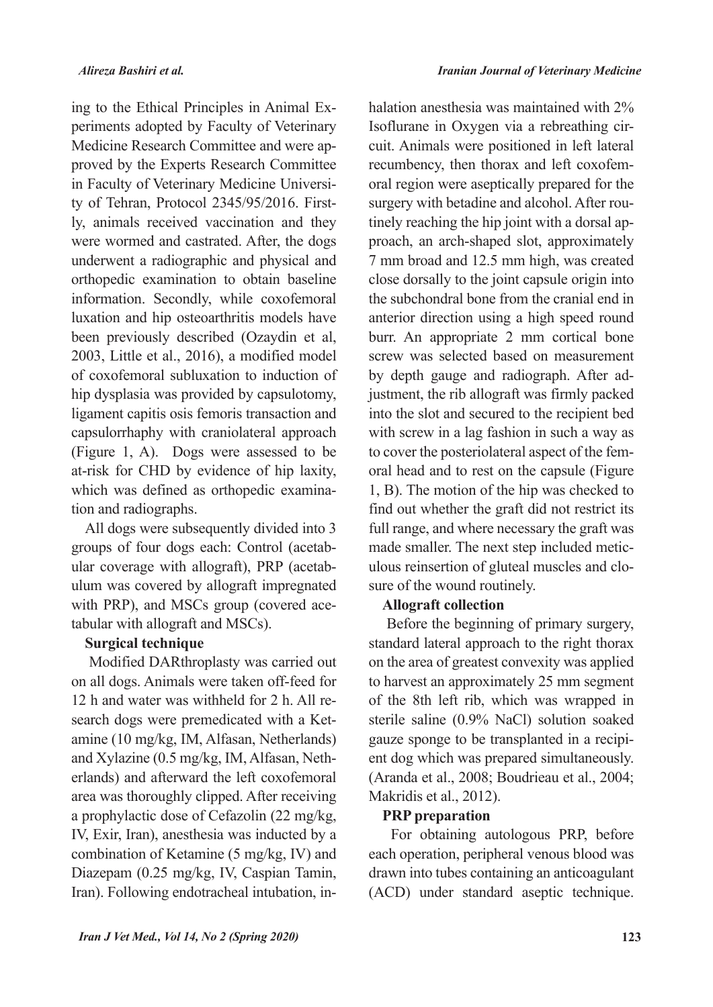periments adopted by Faculty of Veterinary ing to the Ethical Principles in Animal Exproved by the Experts Research Committee Medicine Research Committee and were aply, animals received vaccination and they ty of Tehran, Protocol 2345/95/2016. Firstin Faculty of Veterinary Medicine Universiwere wormed and castrated. After, the dogs underwent a radiographic and physical and orthopedic examination to obtain baseline information. Secondly, while coxofemoral luxation and hip osteoarthritis models have been previously described (Ozaydin et al, 2003, Little et al., 2016), a modified model of coxofemoral subluxation to induction of hip dysplasia was provided by capsulotomy, ligament capitis osis femoris transaction and capsulorrhaphy with craniolateral approach  $F$ igure 1, A). Dogs were assessed to be at-risk for CHD by evidence of hip laxity, which was defined as orthopedic examination and radiographs.

All dogs were subsequently divided into 3 ulum was covered by allograft impregnated ular coverage with allograft), PRP (acetabgroups of four dogs each: Control (acetabwith PRP), and MSCs group (covered ace-<br>tabular with allograft and MSCs).

#### **Surgical technique**

Modified DARthroplasty was carried out on all dogs. Animals were taken off-feed for amine (10 mg/kg, IM, Alfasan, Netherlands) search dogs were premedicated with a Ket-12 h and water was withheld for 2 h. All reand Xylazine (0.5 mg/kg, IM, Alfasan, Neth-<br>erlands) and afterward the left coxofemoral area was thoroughly clipped. After receiving a prophylactic dose of Cefazolin (22 mg/kg, IV, Exir, Iran), anesthesia was inducted by a combination of Ketamine  $(5 \text{ mg/kg}, \text{IV})$  and Diazepam (0.25 mg/kg, IV, Caspian Tamin, Iran). Following endotracheal intubation, inhalation anesthesia was maintained with  $2\%$ cuit. Animals were positioned in left lateral Isoflurane in Oxygen via a rebreathing ciroral region were aseptically prepared for the recumbency, then thorax and left coxofemproach, an arch-shaped slot, approximately tinely reaching the hip joint with a dorsal apsurgery with betadine and alcohol. After rou-7 mm broad and 12.5 mm high, was created close dorsally to the joint capsule origin into the subchondral bone from the cranial end in anterior direction using a high speed round burr. An appropriate 2 mm cortical bone screw was selected based on measurement justment, the rib allograft was firmly packed by depth gauge and radiograph. After adinto the slot and secured to the recipient bed with screw in a lag fashion in such a way as oral head and to rest on the capsule (Figure to cover the posteriolateral aspect of the fem-1, B). The motion of the hip was checked to find out whether the graft did not restrict its full range, and where necessary the graft was ulous reinsertion of gluteal muscles and clo-<br>sure of the wound routinely. made smaller. The next step included metic-<br>ulous reinsertion of gluteal muscles and clomade smaller. The next step included metic-

## **collection Allograft**

Before the beginning of primary surgery, standard lateral approach to the right thorax on the area of greatest convexity was applied to harvest an approximately 25 mm segment of the 8th left rib, which was wrapped in sterile saline (0.9% NaCl) solution soaked ent dog which was prepared simultaneously. gauze sponge to be transplanted in a recipi-(Aranda et al., 2008; Boudrieau et al., 2004; Makridis et al., 2012).

#### **PRP** preparation

For obtaining autologous PRP, before each operation, peripheral venous blood was drawn into tubes containing an anticoagulant  $(ACD)$  under standard aseptic technique.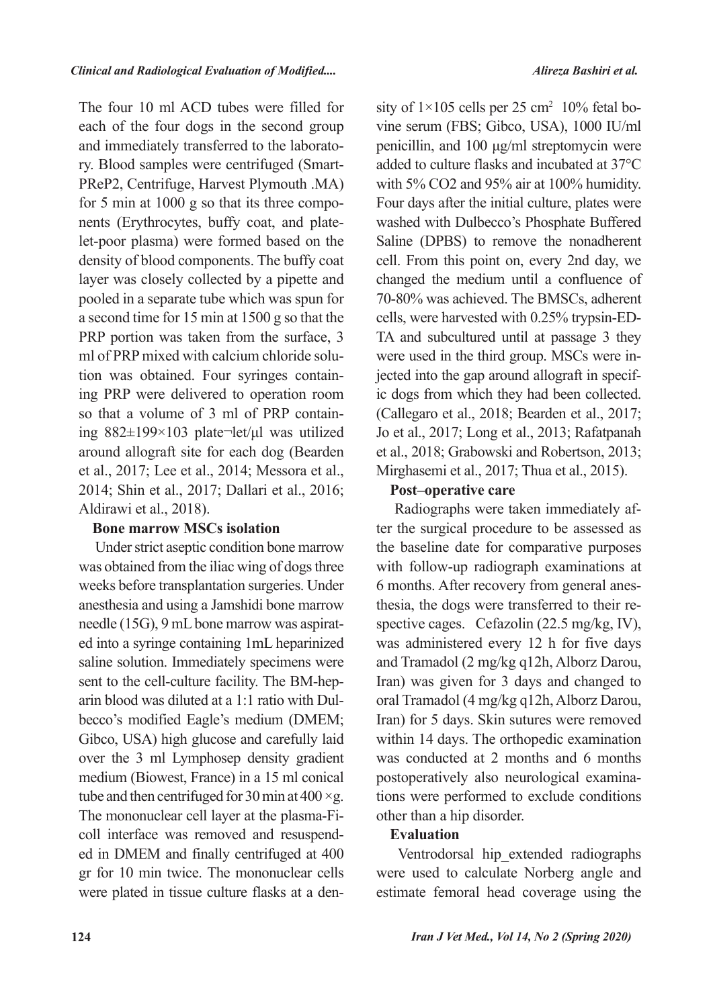The four 10 ml ACD tubes were filled for each of the four dogs in the second group PReP2, Centrifuge, Harvest Plymouth .MA) ry. Blood samples were centrifuged (Smartand immediately transferred to the laboratolet-poor plasma) were formed based on the nents (Erythrocytes, buffy coat, and platefor 5 min at 1000 g so that its three compodensity of blood components. The buffy coat layer was closely collected by a pipette and pooled in a separate tube which was spun for a second time for 15 min at 1500 g so that the PRP portion was taken from the surface, 3 ing PRP were delivered to operation room tion was obtained. Four syringes containml of PRP mixed with calcium chloride soluing  $882\pm199\times103$  plate-let/µl was utilized so that a volume of 3 ml of PRP containaround allograft site for each dog (Bearden et al., 2017; Lee et al., 2014; Messora et al., 2014; Shin et al., 2017; Dallari et al., 2016; Aldirawi et al., 2018).

### **Bone marrow MSCs isolation**

Under strict aseptic condition bone marrow was obtained from the iliac wing of dogs three weeks before transplantation surgeries. Under anesthesia and using a Jamshidi bone marrow ed into a syringe containing 1mL heparinized needle  $(15G)$ , 9 mL bone marrow was aspiratsaline solution. Immediately specimens were becco's modified Eagle's medium (DMEM; arin blood was diluted at a  $1:1$  ratio with Dulsent to the cell-culture facility. The BM-hep-Gibco, USA) high glucose and carefully laid over the 3 ml Lymphosep density gradient medium (Biowest, France) in a 15 ml conical tube and then centrifuged for 30 min at 400  $\times$ g. ed in DMEM and finally centrifuged at 400 coll interface was removed and resuspend-The mononuclear cell layer at the plasma-Figr for 10 min twice. The mononuclear cells were plated in tissue culture flasks at a den-

sity of  $1\times 105$  cells per 25 cm<sup>2</sup> 10% fetal bo vine serum (FBS; Gibco, USA), 1000 IU/ml penicillin, and  $100 \mu g/ml$  streptomycin were added to culture flasks and incubated at  $37^{\circ}$ C with  $5\%$  CO2 and  $95\%$  air at 100% humidity. Four days after the initial culture, plates were washed with Dulbecco's Phosphate Buffered Saline (DPBS) to remove the nonadherent cell. From this point on, every 2nd day, we changed the medium until a confluence of 70-80% was achieved. The BMSCs, adherent TA and subcultured until at passage 3 they cells, were harvested with  $0.25\%$  trypsin-EDic dogs from which they had been collected. jected into the gap around allograft in specifwere used in the third group. MSCs were in- $(Callegaro et al., 2018; Bearden et al., 2017;$ Jo et al., 2017; Long et al., 2013; Rafatpanah et al., 2018: Grabowski and Robertson, 2013: Mirghasemi et al., 2017; Thua et al., 2015).

## Post-operative care

ter the surgical procedure to be assessed as Radiographs were taken immediately afthe baseline date for comparative purposes with follow-up radiograph examinations at spective cages. Cefazolin  $(22.5 \text{ mg/kg}, \text{IV}),$ thesia, the dogs were transferred to their re-6 months. After recovery from general aneswas administered every 12 h for five days and Tramadol (2 mg/kg q12h, Alborz Darou, Iran) was given for 3 days and changed to oral Tramadol (4 mg/kg q12h, Alborz Darou, Iran) for 5 days. Skin sutures were removed within 14 days. The orthopedic examination was conducted at 2 months and 6 months tions were performed to exclude conditions postoperatively also neurological examinaother than a hip disorder.

## **Evaluation**

Ventrodorsal hip extended radiographs were used to calculate Norberg angle and estimate femoral head coverage using the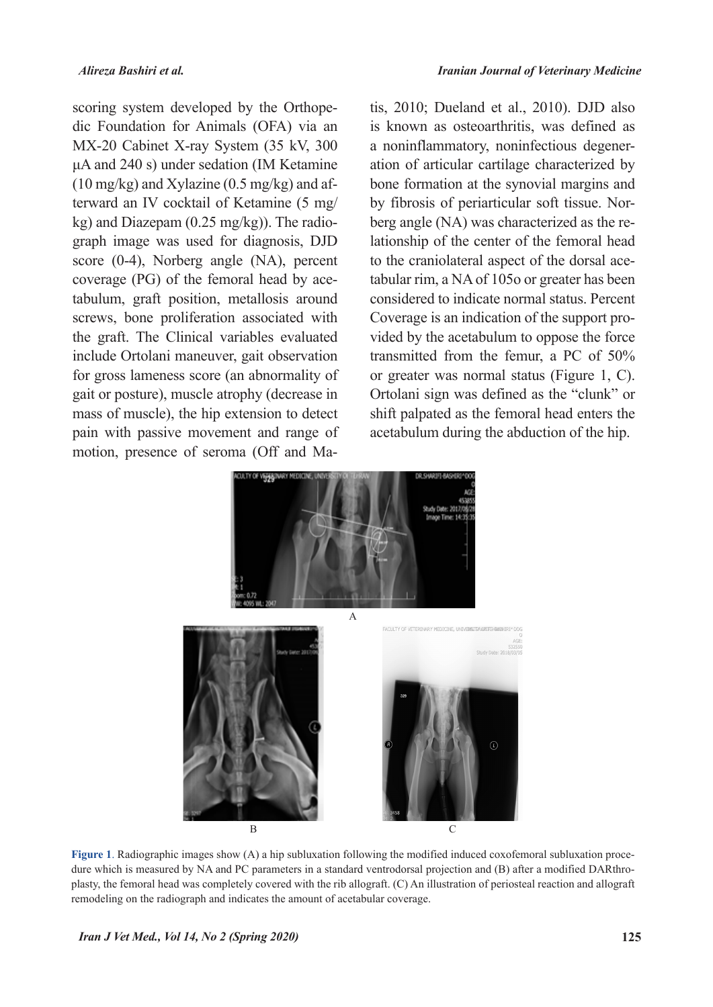dic Foundation for Animals (OFA) via an scoring system developed by the Orthope-MX-20 Cabinet X-ray System (35 kV, 300  $\mu$ A and 240 s) under sedation (IM Ketamine terward an IV cocktail of Ketamine (5 mg/  $(10 \text{ mg/kg})$  and Xylazine  $(0.5 \text{ mg/kg})$  and afgraph image was used for diagnosis, DJD  $kg$ ) and Diazepam  $(0.25 \text{ mg/kg})$ ). The radioscore  $(0-4)$ , Norberg angle  $(NA)$ , percent tabulum, graft position, metallosis around coverage (PG) of the femoral head by acescrews, bone proliferation associated with the graft. The Clinical variables evaluated include Ortolani maneuver, gait observation for gross lameness score (an abnormality of gait or posture), muscle atrophy (decrease in mass of muscle), the hip extension to detect pain with passive movement and range of motion, presence of seroma (Off and Matis,  $2010$ ; Dueland et al.,  $2010$ ). DJD also is known as osteoarthritis, was defined as ation of articular cartilage characterized by a noninflammatory, noninfectious degenerbone formation at the synovial margins and lationship of the center of the femoral head berg angle (NA) was characterized as the reby fibrosis of periarticular soft tissue. Nortabular rim, a NA of 105o or greater has been to the craniolateral aspect of the dorsal aceconsidered to indicate normal status. Percent vided by the acetabulum to oppose the force Coverage is an indication of the support protransmitted from the femur, a PC of  $50\%$ or greater was normal status (Figure 1, C). Ortolani sign was defined as the "clunk" or shift palpated as the femoral head enters the acetabulum during the abduction of the hip.



plasty, the femoral head was completely covered with the rib allograft. (C) An illustration of periosteal reaction and allograft dure which is measured by NA and PC parameters in a standard ventrodorsal projection and (B) after a modified DARthro-Figure 1. Radiographic images show (A) a hip subluxation following the modified induced coxofemoral subluxation proceremodeling on the radiograph and indicates the amount of acetabular coverage.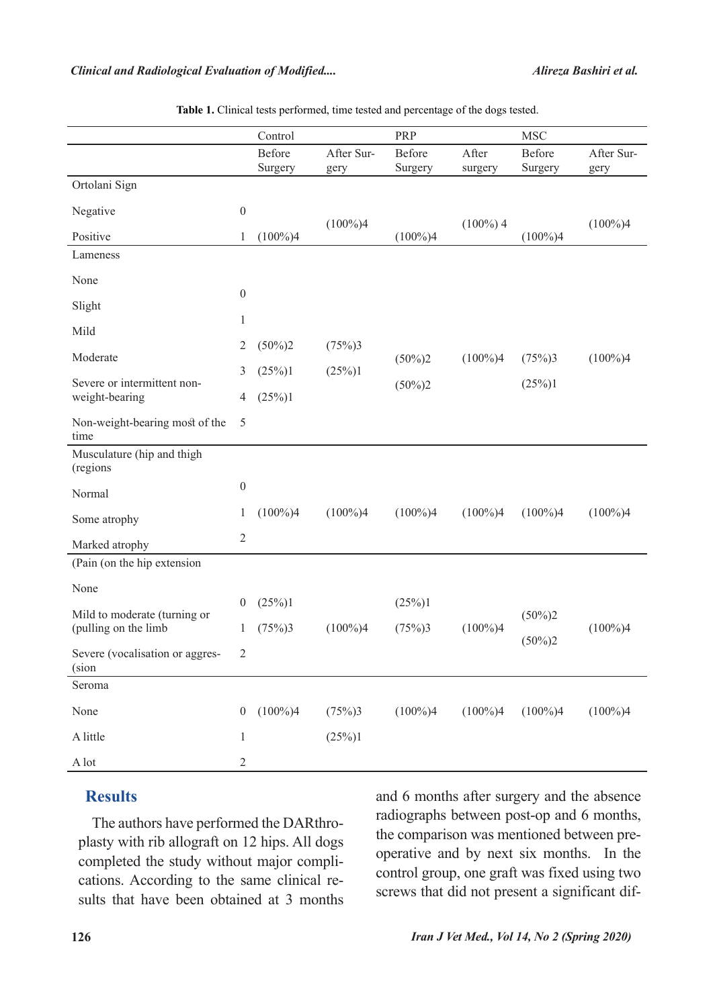|                                                      |                  | Control           |                    | PRP                    |                  | <b>MSC</b>             |                    |
|------------------------------------------------------|------------------|-------------------|--------------------|------------------------|------------------|------------------------|--------------------|
|                                                      |                  | Before<br>Surgery | After Sur-<br>gery | Before<br>Surgery      | After<br>surgery | Before<br>Surgery      | After Sur-<br>gery |
| Ortolani Sign                                        |                  |                   |                    |                        |                  |                        |                    |
| Negative                                             | $\boldsymbol{0}$ |                   | $(100\%)4$         |                        | $(100\%)$ 4      |                        | $(100\%)4$         |
| Positive                                             | 1                | $(100\%)4$        |                    | $(100\%)4$             |                  | $(100\%)4$             |                    |
| Lameness                                             |                  |                   |                    |                        |                  |                        |                    |
| None                                                 | $\boldsymbol{0}$ |                   |                    |                        |                  |                        |                    |
| Slight<br>Mild                                       |                  |                   |                    |                        |                  |                        |                    |
|                                                      |                  |                   |                    |                        |                  |                        |                    |
| Moderate                                             | 2                | $(50\%)2$         | (75%)3             | $(50\%)2$<br>$(50\%)2$ | $(100\%)4$       | (75%)3                 | $(100\%)4$         |
| Severe or intermittent non-<br>weight-bearing        | 3                | (25%)1            | (25%)1             |                        |                  | (25%)1                 |                    |
|                                                      | 4                | (25%)1            |                    |                        |                  |                        |                    |
| Non-weight-bearing most of the<br>time               | 5                |                   |                    |                        |                  |                        |                    |
| Musculature (hip and thigh<br>(regions               |                  |                   |                    |                        |                  |                        |                    |
| Normal                                               | $\boldsymbol{0}$ |                   |                    |                        |                  |                        |                    |
| Some atrophy                                         | 1                | $(100\%)4$        | $(100\%)4$         | $(100\%)4$             | $(100\%)4$       | $(100\%)4$             | $(100\%)4$         |
| Marked atrophy                                       |                  |                   |                    |                        |                  |                        |                    |
| (Pain (on the hip extension                          |                  |                   |                    |                        |                  |                        |                    |
| None                                                 |                  |                   |                    |                        |                  |                        |                    |
| Mild to moderate (turning or<br>(pulling on the limb | $\overline{0}$   | (25%)1            |                    | (25%)1                 | $(100\%)4$       | $(50\%)2$<br>$(50\%)2$ |                    |
|                                                      | 1                | (75%)3            | $(100\%)4$         | (75%)3                 |                  |                        | $(100\%)4$         |
| Severe (vocalisation or aggres-<br>(sion             | 2                |                   |                    |                        |                  |                        |                    |
| Seroma                                               |                  |                   |                    |                        |                  |                        |                    |
| None                                                 | $\boldsymbol{0}$ | $(100\%)4$        | (75%)3             | $(100\%)4$             | $(100\%)4$       | $(100\%)4$             | $(100\%)4$         |
| A little                                             | $\mathbf{1}$     |                   | (25%)1             |                        |                  |                        |                    |
| $\mathbf{A}\mathop{\mathrm{lot}}$                    | $\boldsymbol{2}$ |                   |                    |                        |                  |                        |                    |

Table 1. Clinical tests performed, time tested and percentage of the dogs tested.

## **Results**

plasty with rib allograft on 12 hips. All dogs The authors have performed the DARthrosults that have been obtained at  $3$  months cations. According to the same clinical recompleted the study without major compliand 6 months after surgery and the absence radiographs between post-op and 6 months, operative and by next six months. In the the comparison was mentioned between precontrol group, one graft was fixed using two screws that did not present a significant dif-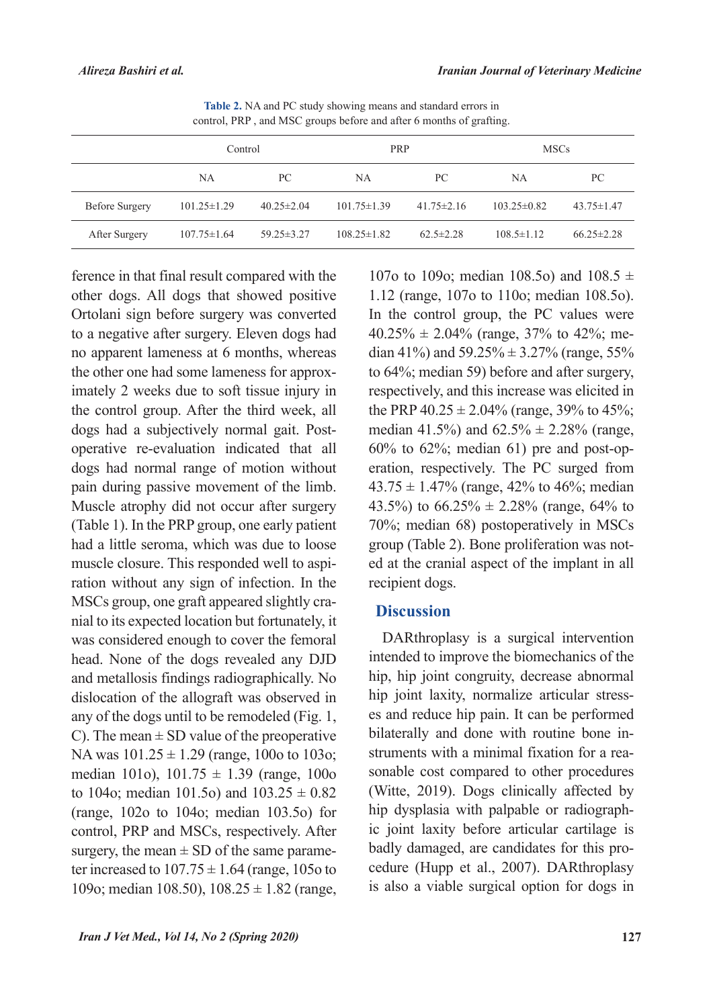| $\frac{1}{2}$ control, Terr , and $\frac{1}{2}$ and $\frac{1}{2}$ coupled to the article of months of graduate. |                   |                  |                   |                  |                   |                  |  |  |  |  |  |
|-----------------------------------------------------------------------------------------------------------------|-------------------|------------------|-------------------|------------------|-------------------|------------------|--|--|--|--|--|
|                                                                                                                 | Control           |                  | PRP               |                  | <b>MSCs</b>       |                  |  |  |  |  |  |
|                                                                                                                 | NA                | PC.              | NA                | PC.              | NA                | PС               |  |  |  |  |  |
| <b>Before Surgery</b>                                                                                           | $101.25 \pm 1.29$ | $40.25 \pm 2.04$ | $101.75 \pm 1.39$ | $41.75 \pm 2.16$ | $103.25 \pm 0.82$ | $43.75 \pm 1.47$ |  |  |  |  |  |
| After Surgery                                                                                                   | $107.75 \pm 1.64$ | $59.25 \pm 3.27$ | $108.25 \pm 1.82$ | $62.5 \pm 2.28$  | $108.5 \pm 1.12$  | $66.25 \pm 2.28$ |  |  |  |  |  |

Table 2. NA and PC study showing means and standard errors in control, PRP, and MSC groups before and after 6 months of grafting.

ference in that final result compared with the other dogs. All dogs that showed positive Ortolani sign before surgery was converted to a negative after surgery. Eleven dogs had no apparent lameness at 6 months, whereas imately 2 weeks due to soft tissue injury in the other one had some lameness for approxthe control group. After the third week, all operative re-evaluation indicated that all dogs had a subjectively normal gait. Postdogs had normal range of motion without pain during passive movement of the limb. Muscle atrophy did not occur after surgery (Table 1). In the PRP group, one early patient had a little seroma, which was due to loose ration without any sign of infection. In the muscle closure. This responded well to aspinial to its expected location but fortunately, it MSCs group, one graft appeared slightly crawas considered enough to cover the femoral head. None of the dogs revealed any DJD and metallosis findings radiographically. No dislocation of the allograft was observed in any of the dogs until to be remodeled (Fig.  $1$ , C). The mean  $\pm$  SD value of the preoperative NA was  $101.25 \pm 1.29$  (range, 100o to 103o; median 101o),  $101.75 \pm 1.39$  (range, 100o to 104o; median 101.5o) and  $103.25 \pm 0.82$ (range,  $102o$  to  $104o$ ; median  $103.5o$ ) for control, PRP and MSCs, respectively. After ter increased to  $107.75 \pm 1.64$  (range, 105o to surgery, the mean  $\pm$  SD of the same parame-109o; median 108.50),  $108.25 \pm 1.82$  (range,

107o to 109o; median 108.5o) and 108.5  $\pm$ 1.12 (range, 107o to 110o; median 108.5o). In the control group, the PC values were dian 41%) and  $59.25\% \pm 3.27\%$  (range, 55%  $40.25\% \pm 2.04\%$  (range, 37% to 42%; meto  $64\%$ ; median 59) before and after surgery, respectively, and this increase was elicited in the PRP  $40.25 \pm 2.04\%$  (range, 39% to 45%; median 41.5%) and  $62.5\% \pm 2.28\%$  (range, eration, respectively. The PC surged from  $60\%$  to  $62\%$ ; median  $61$ ) pre and post-op- $43.75 \pm 1.47\%$  (range, 42% to 46%; median 43.5%) to  $66.25\% \pm 2.28\%$  (range, 64% to) 70%; median 68) postoperatively in MSCs ed at the cranial aspect of the implant in all group (Table 2). Bone proliferation was notrecipient dogs.

#### **Discussion**

DARthroplasy is a surgical intervention intended to improve the biomechanics of the hip, hip joint congruity, decrease abnormal es and reduce hip pain. It can be performed hip joint laxity, normalize articular stresssonable cost compared to other procedures struments with a minimal fixation for a reabilaterally and done with routine bone in-(Witte,  $2019$ ). Dogs clinically affected by ic joint laxity before articular cartilage is hip dysplasia with palpable or radiographcedure (Hupp et al., 2007). DARthroplasy badly damaged, are candidates for this prois also a viable surgical option for dogs in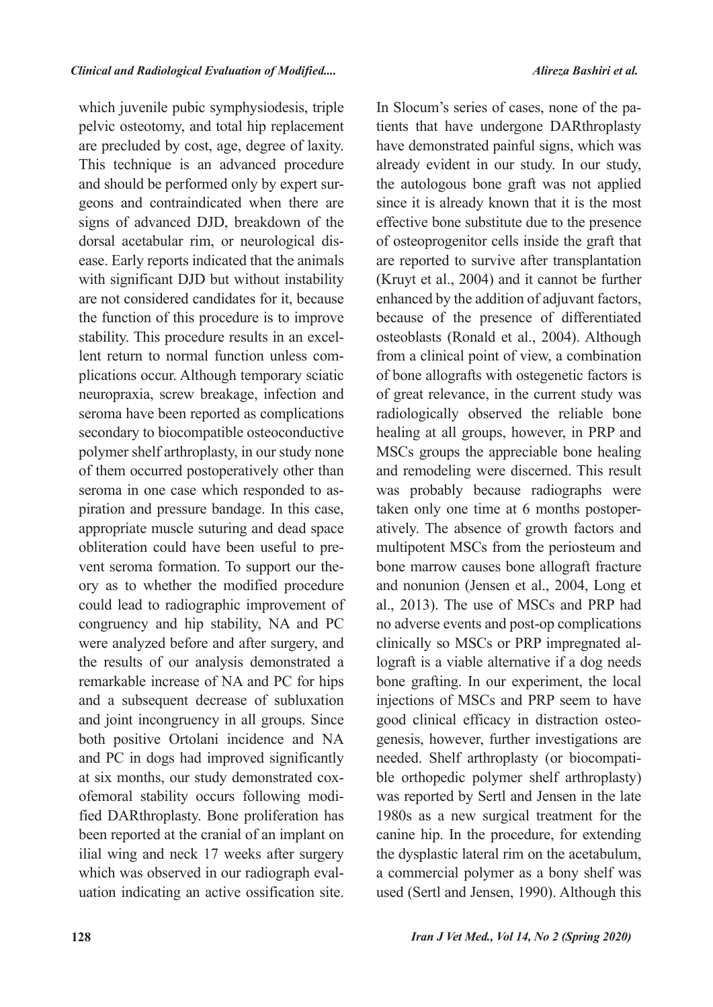which juvenile pubic symphysiodesis, triple pelvic osteotomy, and total hip replacement are precluded by cost, age, degree of laxity. This technique is an advanced procedure geons and contraindicated when there are and should be performed only by expert sursigns of advanced DJD, breakdown of the ease. Early reports indicated that the animals dorsal acetabular rim, or neurological diswith significant DJD but without instability are not considered candidates for it, because the function of this procedure is to improve plications occur. Although temporary sciatic lent return to normal function unless comstability. This procedure results in an excelneuropraxia, screw breakage, infection and seroma have been reported as complications secondary to biocompatible osteoconductive polymer shelf arthroplasty, in our study none of them occurred postoperatively other than piration and pressure bandage. In this case, seroma in one case which responded to asappropriate muscle suturing and dead space ory as to whether the modified procedure vent seroma formation. To support our theobliteration could have been useful to precould lead to radiographic improvement of congruency and hip stability, NA and PC were analyzed before and after surgery, and the results of our analysis demonstrated a remarkable increase of NA and PC for hips and a subsequent decrease of subluxation and joint incongruency in all groups. Since both positive Ortolani incidence and NA and PC in dogs had improved significantly fied DARthroplasty. Bone proliferation has ofemoral stability occurs following modiat six months, our study demonstrated coxbeen reported at the cranial of an implant on ilial wing and neck 17 weeks after surgery uation indicating an active ossification site. which was observed in our radiograph evaltients that have undergone DARthroplasty In Slocum's series of cases, none of the pahave demonstrated painful signs, which was already evident in our study. In our study, the autologous bone graft was not applied since it is already known that it is the most effective bone substitute due to the presence of osteoprogenitor cells inside the graft that are reported to survive after transplantation (Kruyt et al.,  $2004$ ) and it cannot be further enhanced by the addition of adjuvant factors, because of the presence of differentiated osteoblasts (Ronald et al., 2004). Although from a clinical point of view, a combination of bone allografts with ostegenetic factors is of great relevance, in the current study was radiologically observed the reliable bone healing at all groups, however, in PRP and MSCs groups the appreciable bone healing and remodeling were discerned. This result was probably because radiographs were atively. The absence of growth factors and taken only one time at  $6$  months postopermultipotent MSCs from the periosteum and bone marrow causes bone allograft fracture and nonunion (Jensen et al., 2004, Long et al., 2013). The use of MSCs and PRP had no adverse events and post-op complications lograft is a viable alternative if a dog needs clinically so MSCs or PRP impregnated albone grafting. In our experiment, the local injections of MSCs and PRP seem to have genesis, however, further investigations are good clinical efficacy in distraction osteoble orthopedic polymer shelf arthroplasty) needed. Shelf arthroplasty (or biocompatiwas reported by Sertl and Jensen in the late 1980s as a new surgical treatment for the canine hip. In the procedure, for extending the dysplastic lateral rim on the acetabulum, a commercial polymer as a bony shelf was used (Sertl and Jensen, 1990). Although this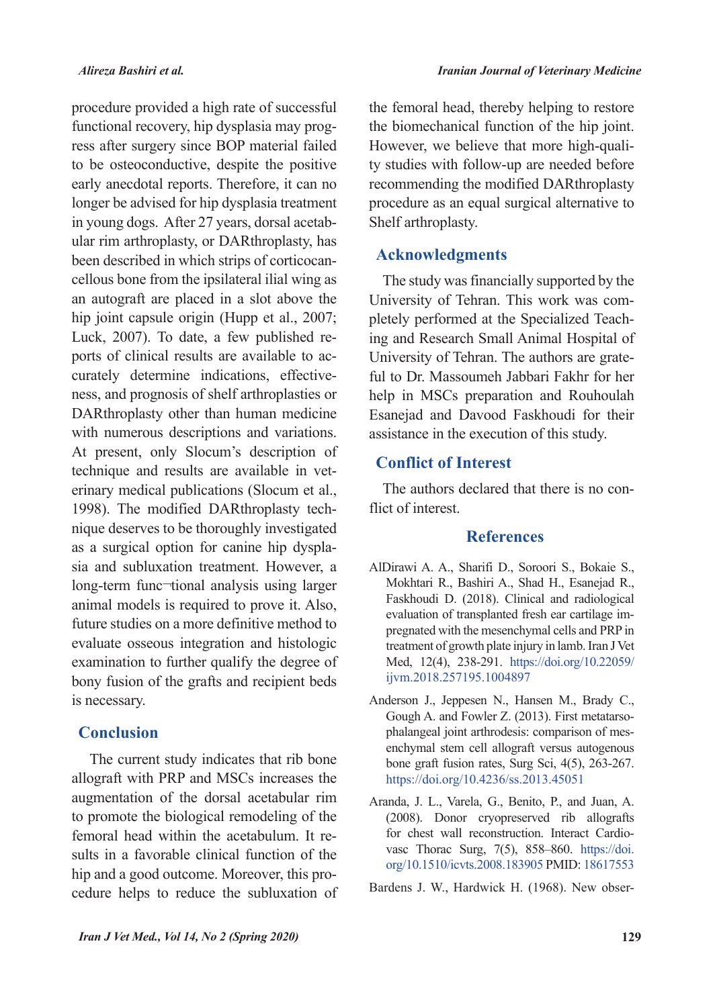procedure provided a high rate of successful ress after surgery since BOP material failed functional recovery, hip dysplasia may progto be osteoconductive, despite the positive early anecdotal reports. Therefore, it can no longer be advised for hip dysplasia treatment ular rim arthroplasty, or DARthroplasty, has in young dogs. After 27 years, dorsal acetabcellous bone from the ipsilateral ilial wing as been described in which strips of corticocanan autograft are placed in a slot above the hip joint capsule origin (Hupp et al., 2007; ness, and prognosis of shelf arthroplasties or curately determine indications, effectiveports of clinical results are available to ac-Luck,  $2007$ ). To date, a few published re-DARthroplasty other than human medicine with numerous descriptions and variations. At present, only Slocum's description of erinary medical publications (Slocum et al., technique and results are available in vetnique deserves to be thoroughly investigated 1998). The modified DARthroplasty techsia and subluxation treatment. However, a as a surgical option for canine hip dysplalong-term func-tional analysis using larger animal models is required to prove it. Also, future studies on a more definitive method to evaluate osseous integration and histologic examination to further qualify the degree of bony fusion of the grafts and recipient beds is necessary.

### **Conclusion**

The current study indicates that rib bone allograft with PRP and MSCs increases the augmentation of the dorsal acetabular rim to promote the biological remodeling of the sults in a favorable clinical function of the femoral head within the acetabulum. It recedure helps to reduce the subluxation of hip and a good outcome. Moreover, this prothe femoral head, thereby helping to restore the biomechanical function of the hip joint. ty studies with follow-up are needed before However, we believe that more high-qualirecommending the modified DARthroplasty procedure as an equal surgical alternative to Shelf arthroplasty.

#### **Acknowledgments**

The study was financially supported by the ing and Research Small Animal Hospital of pletely performed at the Specialized Teach-University of Tehran. This work was com-University of Tehran. The authors are grate-<br>ful to Dr. Massoumeh Jabbari Fakhr for her help in MSCs preparation and Rouhoulah Esanejad and Davood Faskhoudi for their assistance in the execution of this study.

### **Conflict of Interest**

The authors declared that there is no con-<br>flict of interest.

#### **References**

- AlDirawi A. A., Sharifi D., Soroori S., Bokaie S., Mokhtari R., Bashiri A., Shad H., Esanejad R., Faskhoudi D. (2018). Clinical and radiological pregnated with the mesenchymal cells and PRP in evaluation of transplanted fresh ear cartilage imtreatment of growth plate injury in lamb. Iran J Vet Med, 12(4), 238-291. https://doi.org/10.22059/ ijvm.2018.257195.1004897
- Anderson J., Jeppesen N., Hansen M., Brady C., enchymal stem cell allograft versus autogenous phalangeal joint arthrodesis: comparison of mes-Gough A. and Fowler Z. (2013). First metatarsobone graft fusion rates, Surg Sci,  $4(5)$ , 263-267. https://doi.org/10.4236/ss.2013.45051
- Aranda, J. L., Varela, G., Benito, P., and Juan, A.  $(2008)$ . Donor cryopreserved rib allografts vasc Thorac Surg,  $7(5)$ ,  $858-860$ . https://doi. for chest wall reconstruction. Interact Cardioorg/10.1510/icvts.2008.183905 PMID: 18617553

Bardens J. W., Hardwick H. (1968). New obser-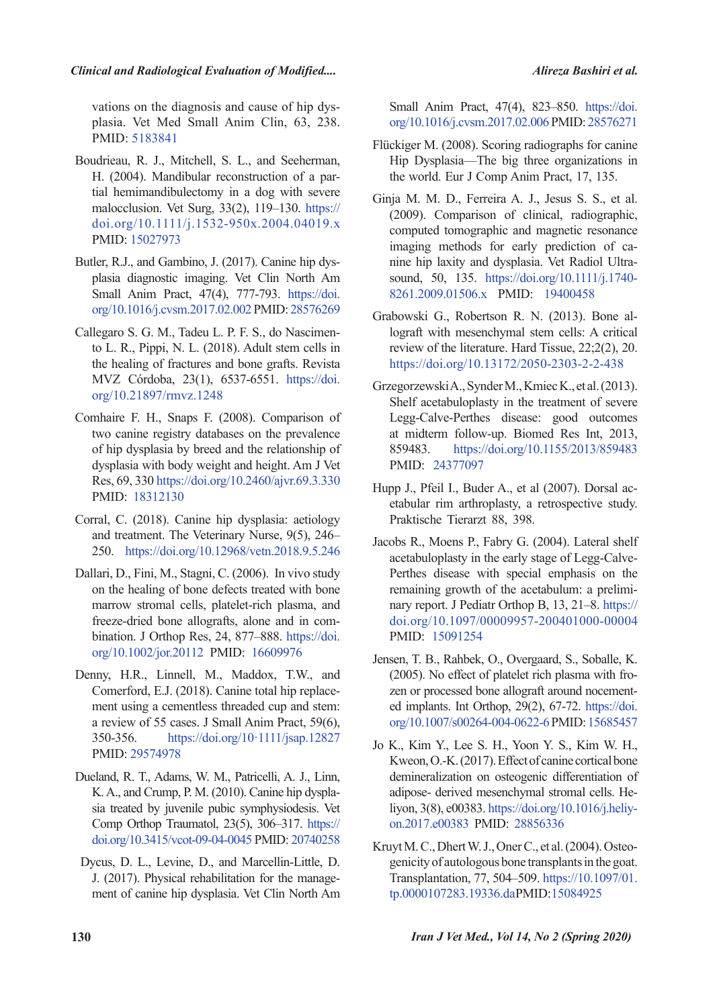plasia. Vet Med Small Anim Clin, 63, 238. vations on the diagnosis and cause of hip dys-PMID: 5183841

- Boudrieau, R. J., Mitchell, S. L., and Seeherman, tial hemimandibulectomy in a dog with severe H. (2004). Mandibular reconstruction of a parmalocclusion. Vet Surg,  $33(2)$ ,  $119-130$ . https:// doi.org/10.1111/j.1532-950x.2004.04019.x PMID: 15027973
- Butler, R.J., and Gambino, J. (2017). Canine hip dysplasia-diagnostic imaging. Vet Clin North Am Small Anim Pract, 47(4), 777-793. https://doi. org/10.1016/j.cvsm.2017.02.002 PMID: 28576269
- to L. R., Pippi, N. L.  $(2018)$ . Adult stem cells in Callegaro S. G. M., Tadeu L. P. F. S., do Nascimenthe healing of fractures and bone grafts. Revista MVZ Córdoba, 23(1), 6537-6551. https://doi. org/10.21897/rmvz.1248
- Comhaire F. H., Snaps F. (2008). Comparison of two canine registry databases on the prevalence of hip dysplasia by breed and the relationship of dysplasia with body weight and height. Am J Vet Res, 69, 330 https://doi.org/10.2460/ajvr.69.3.330 PMID: 18312130
- Corral, C. (2018). Canine hip dysplasia: aetiology and treatment. The Veterinary Nurse,  $9(5)$ ,  $246-$ 250. https://doi.org/10.12968/vetn.2018.9.5.246
- Dallari, D., Fini, M., Stagni, C. (2006). In vivo study on the healing of bone defects treated with bone marrow stromal cells, platelet-rich plasma, and bination. J Orthop Res, 24, 877–888. https://doi. freeze-dried bone allografts, alone and in comorg/10.1002/jor.20112 PMID: 16609976
- Denny, H.R., Linnell, M., Maddox, T.W., and Comerford, E.J. (2018). Canine total hip replace-<br>ment using a cementless threaded cup and stem: a review of 55 cases. J Small Anim Pract, 59(6), 350-356. https://doi.org/10.1111/jsap.12827 PMID: 29574978
- Dueland, R. T., Adams, W. M., Patricelli, A. J., Linn, sia treated by juvenile pubic symphysiodesis. Vet K. A., and Crump, P. M. (2010). Canine hip dyspla-Comp Orthop Traumatol, 23(5), 306-317. https:// doi.org/10.3415/vcot-09-04-0045 PMID: 20740258
- Dycus, D. L., Levine, D., and Marcellin-Little, D. ment of canine hip dysplasia. Vet Clin North Am J. (2017). Physical rehabilitation for the manage-

Small Anim Pract, 47(4), 823–850. https://doi. org/10.1016/j.cvsm.2017.02.006 PMID: 28576271

- Flückiger M. (2008). Scoring radiographs for canine Hip Dysplasia—The big three organizations in the world. Eur J Comp Anim Pract, 17, 135.
- Ginja M. M. D., Ferreira A. J., Jesus S. S., et al. (2009). Comparison of clinical, radiographic, computed tomographic and magnetic resonance nine hip laxity and dysplasia. Vet Radiol Ultra-<br>sound, 50, 135. https://doi.org/10.1111/j.1740imaging methods for early prediction of cannine hip laxity and dysplasia. Vet Radiol Ultraimaging methods for early prediction of ca-8261.2009.01506.x PMID: 19400458
- lograft with mesenchymal stem cells: A critical Grabowski G., Robertson R. N. (2013). Bone alreview of the literature. Hard Tissue,  $22:2(2)$ ,  $20$ . https://doi.org/10.13172/2050-2303-2-2-438
- GrzegorzewskiA., Synder M., Kmiec K., et al. (2013). Shelf acetabuloplasty in the treatment of severe Legg-Calve-Perthes disease: good outcomes at midterm follow-up. Biomed Res Int, 2013, 859483. https://doi.org/10.1155/2013/859483 PMID: 24377097
- etabular rim arthroplasty, a retrospective study. Hupp J., Pfeil I., Buder A., et al (2007). Dorsal ac-Praktische Tierarzt 88, 398.
- Jacobs R., Moens P., Fabry G. (2004). Lateral shelf Perthes disease with special emphasis on the acetabuloplasty in the early stage of Legg-Calvenary report. J Pediatr Orthop B, 13, 21-8. https:// remaining growth of the acetabulum: a prelimidoi.org/10.1097/00009957-200401000-00004 PMID: 15091254
- Jensen, T. B., Rahbek, O., Overgaard, S., Soballe, K. ed implants. Int Orthop,  $29(2)$ ,  $67-72$ . https://doi. zen or processed bone allograft around nocement- $(2005)$ . No effect of platelet rich plasma with froorg/10.1007/s00264-004-0622-6 PMID: 15685457
- Jo K., Kim Y., Lee S. H., Yoon Y. S., Kim W. H., Kweon, O.-K. (2017). Effect of canine cortical bone demineralization on osteogenic differentiation of liyon, 3(8), e00383. https://doi.org/10.1016/j.heliyon.2017.e00383 PMID: 28856336 adipose- derived mesenchymal stromal cells. Heliyon, 3(8), e00383. https://doi.org/10.1016/j.heliyadipose- derived mesenchymal stromal cells. He-
- genicity of autologous bone transplants in the goat. Kruyt M. C., Dhert W. J., Oner C., et al. (2004). Osteo-Transplantation, 77, 504–509. https://10.1097/01. tp.0000107283.19336.daPMID:15084925

*(2020)* Spring (2020) Spring (2020) Spring (2020) Spring (2020)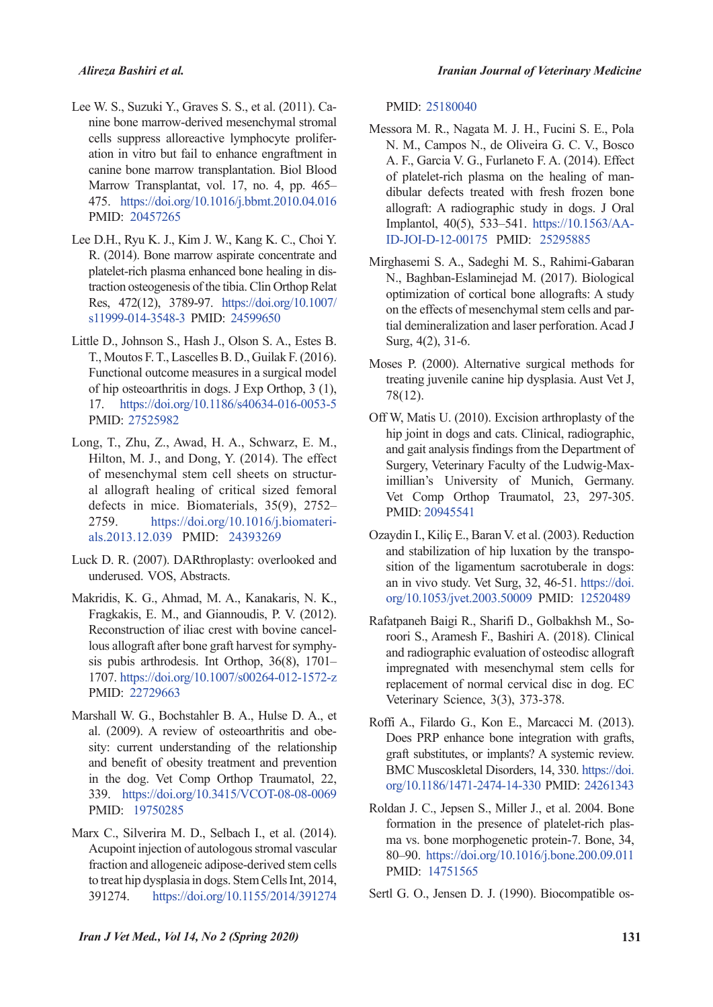- nine bone marrow-derived mesenchymal stromal Lee W. S., Suzuki Y., Graves S. S., et al. (2011). Caation in vitro but fail to enhance engraftment in cells suppress alloreactive lymphocyte prolifercanine bone marrow transplantation. Biol Blood Marrow Transplantat, vol. 17, no. 4, pp. 465-475. https://doi.org/10.1016/j.bbmt.2010.04.016 PMID: 20457265
- Lee D.H., Ryu K. J., Kim J. W., Kang K. C., Choi Y. R. (2014). Bone marrow aspirate concentrate and traction osteogenesis of the tibia. Clin Orthop Relat platelet-rich plasma enhanced bone healing in dis-Res. 472(12), 3789-97. https://doi.org/10.1007/ s11999-014-3548-3 PMID: 24599650
- Little D., Johnson S., Hash J., Olson S. A., Estes B. T., Moutos F. T., Lascelles B. D., Guilak F. (2016). Functional outcome measures in a surgical model of hip osteoarthritis in dogs. J  $Exp$  Orthop, 3 (1), 17. https://doi.org/10.1186/s40634-016-0053-5 PMID: 27525982
- Long, T., Zhu, Z., Awad, H. A., Schwarz, E. M., Hilton, M. J., and Dong, Y. (2014). The effect al allograft healing of critical sized femoral of mesenchymal stem cell sheets on structurdefects in mice. Biomaterials,  $35(9)$ ,  $2752-$ 2759. https://doi.org/10.1016/j.l<br>als.2013.12.039 PMID: 24393269 https://doi.org/10.1016/j.biomateri-
- Luck D. R. (2007). DARthroplasty: overlooked and underused. VOS, Abstracts.
- Makridis, K. G., Ahmad, M. A., Kanakaris, N. K., Fragkakis, E. M., and Giannoudis, P. V. (2012). sis pubis arthrodesis. Int Orthop.  $36(8)$ ,  $1701$ lous allograft after bone graft harvest for symphy-Reconstruction of iliac crest with bovine cancel-1707. https://doi.org/10.1007/s00264-012-1572-z PMID: 22729663
- Marshall W. G., Bochstahler B. A., Hulse D. A., et sity: current understanding of the relationship al. (2009). A review of osteoarthritis and obeand benefit of obesity treatment and prevention in the dog. Vet Comp Orthop Traumatol, 22, 339. https://doi.org/10.3415/VCOT-08-08-0069 PMID: 19750285
- Marx C., Silverira M. D., Selbach I., et al. (2014). Acupoint injection of autologous stromal vascular fraction and allogeneic adipose-derived stem cells to treat hip dysplasia in dogs. Stem Cells Int, 2014, 391274. https://doi.org/10.1155/2014/391274

PMID: 25180040

- Messora M. R., Nagata M. J. H., Fucini S. E., Pola N. M., Campos N., de Oliveira G. C. V., Bosco A. F., Garcia V. G., Furlaneto F. A. (2014). Effect of platelet-rich plasma on the healing of man-<br>dibular defects treated with fresh frozen bone allograft: A radiographic study in dogs. J Oral Implantol, 40(5), 533–541. https://10.1563/AA-ID-JOI-D-12-00175 PMID: 25295885
- Mirghasemi S. A., Sadeghi M. S., Rahimi-Gabaran N., Baghban-Eslaminejad M. (2017). Biological optimization of cortical bone allografts: A study tial demineralization and laser perforation. Acad J on the effects of mesenchymal stem cells and par-Surg,  $4(2)$ ,  $31-6$ .
- Moses P. (2000). Alternative surgical methods for treating juvenile canine hip dysplasia. Aust Vet J,  $78(12)$ .
- Off W, Matis U. (2010). Excision arthroplasty of the hip joint in dogs and cats. Clinical, radiographic, and gait analysis findings from the Department of imillian's University of Munich, Germany. Surgery, Veterinary Faculty of the Ludwig-Max-Vet Comp Orthop Traumatol, 23, 297-305. PMID: 20945541
- Ozaydin I., Kiliç E., Baran V. et al. (2003). Reduction and stabilization of hip luxation by the transposition of the ligamentum sacrotuberale in dogs: an in vivo study. Vet Surg, 32, 46-51. https://doi. org/10.1053/jvet.2003.50009 PMID: 12520489
- roori S., Aramesh F., Bashiri A. (2018). Clinical Rafatpaneh Baigi R., Sharifi D., Golbakhsh M., Soand radiographic evaluation of osteodisc allograft impregnated with mesenchymal stem cells for replacement of normal cervical disc in dog. EC Veterinary Science, 3(3), 373-378.
- Roffi A., Filardo G., Kon E., Marcacci M. (2013). Does PRP enhance bone integration with grafts, graft substitutes, or implants? A systemic review. BMC Muscoskletal Disorders, 14, 330. https://doi. org/10.1186/1471-2474-14-330 PMID: 24261343
- Roldan J. C., Jepsen S., Miller J., et al. 2004. Bone formation in the presence of platelet-rich plas-<br>ma vs. bone morphogenetic protein-7. Bone, 34, 80-90. https://doi.org/10.1016/j.bone.200.09.011 PMID: 14751565

Sertl G. O., Jensen D. J. (1990). Biocompatible os-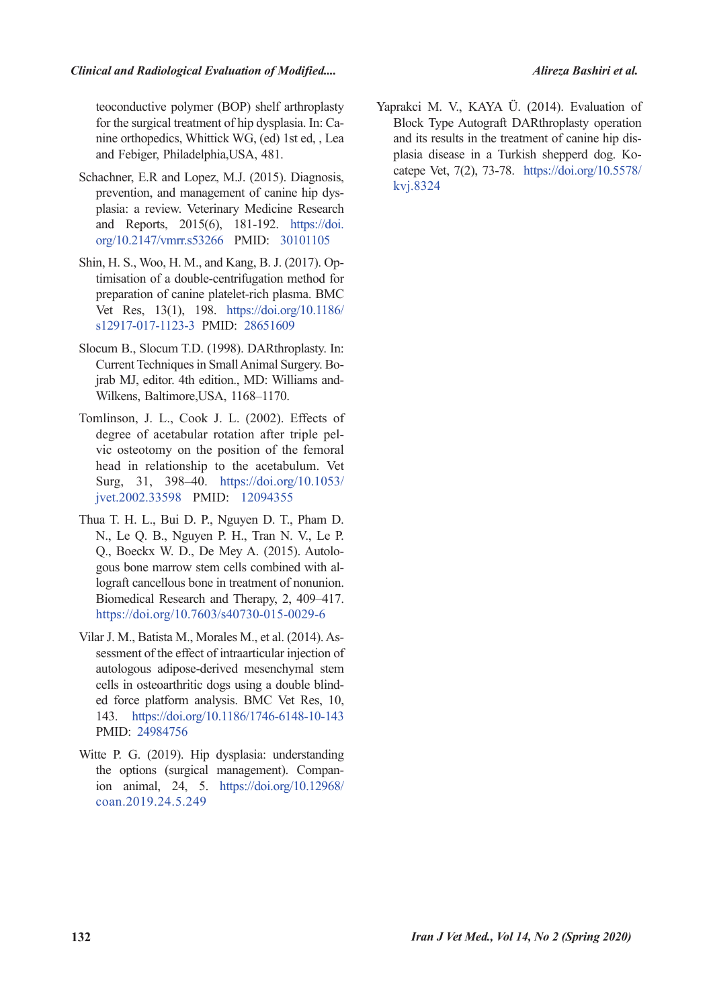#### **Clinical and Radiological Evaluation of Modified....**

teoconductive polymer (BOP) shelf arthroplasty nine orthopedics, Whittick WG, (ed) 1st ed., Lea for the surgical treatment of hip dysplasia. In: Caand Febiger, Philadelphia, USA, 481.

- Schachner, E.R and Lopez, M.J. (2015). Diagnosis, plasia: a review. Veterinary Medicine Research prevention, and management of canine hip dysand Reports,  $2015(6)$ , 181-192. https://doi. org/10.2147/vmrr.s53266 PMID: 30101105
- Shin, H. S., Woo, H. M., and Kang, B. J. (2017). Optimisation of a double-centrifugation method for preparation of canine platelet-rich plasma. BMC Vet Res, 13(1), 198. https://doi.org/10.1186/ s12917-017-1123-3 PMID: 28651609
- Slocum B., Slocum T.D. (1998). DARthroplasty. In: jrab MJ, editor. 4th edition., MD: Williams and-Wilkens, Baltimore,USA, 1168–1170. Current Techniques in Small Animal Surgery. Bo-<br>jrab MJ, editor. 4th edition., MD: Williams and-Current Techniques in Small Animal Surgery. Bo-
- Tomlinson, J. L., Cook J. L. (2002). Effects of vic osteotomy on the position of the femoral degree of acetabular rotation after triple pelhead in relationship to the acetabulum. Vet Surg. 31, 398-40. https://doi.org/10.1053/ jvet.2002.33598 PMID: 12094355
- Thua T. H. L., Bui D. P., Nguyen D. T., Pham D. N., Le Q. B., Nguyen P. H., Tran N. V., Le P. gous bone marrow stem cells combined with allograft cancellous bone in treatment of nonunion. Q., Boeckx W. D., De Mey A. (2015). Autolo-<br>gous bone marrow stem cells combined with al-Biomedical Research and Therapy, 2, 409-417. https://doi.org/10.7603/s40730-015-0029-6
- sessment of the effect of intraarticular injection of Vilar J. M., Batista M., Morales M., et al. (2014). Asautologous adipose-derived mesenchymal stem ed force platform analysis. BMC Vet Res, 10, cells in osteoarthritic dogs using a double blind-143. https://doi.org/10.1186/1746-6148-10-143 PMID: 24984756
- Witte P. G. (2019). Hip dysplasia: understanding ion animal, 24, 5. https://doi.org/10.12968/ the options (surgical management). Compancoan.2019.24.5.249

Yaprakci M. V., KAYA Ü. (2014). Evaluation of Block Type Autograft DARthroplasty operation catepe Vet, 7(2), 73-78. https://doi.org/10.5578/ plasia disease in a Turkish shepperd dog. Koand its results in the treatment of canine hip diskvi.8324